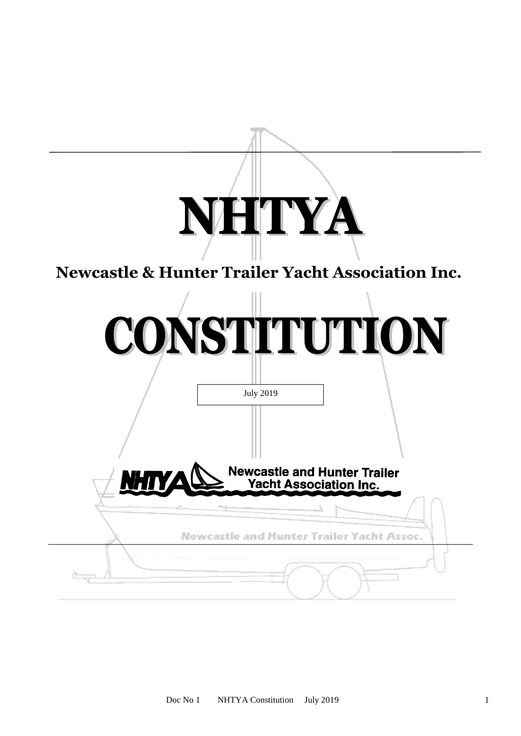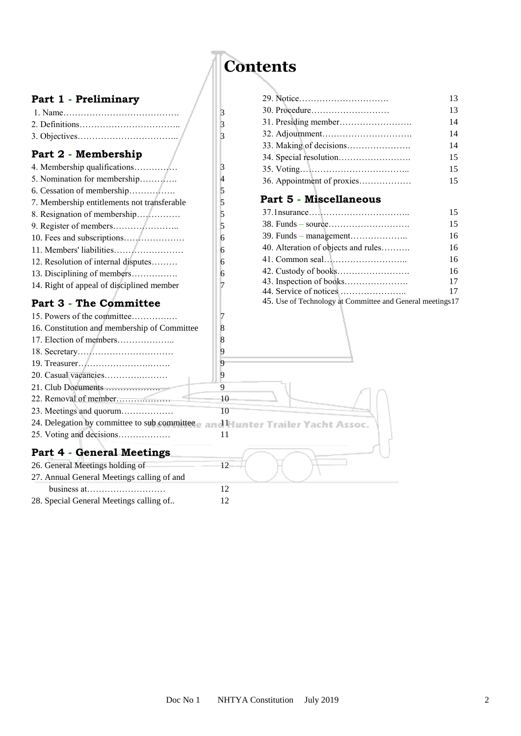# **Contents**

| Part 1 - Preliminary                         |    |                                                           | 13 |
|----------------------------------------------|----|-----------------------------------------------------------|----|
|                                              |    |                                                           | 13 |
|                                              | 3  |                                                           | 14 |
|                                              | 3  |                                                           | 14 |
|                                              | 3  |                                                           | 14 |
| Part 2 - Membership                          |    |                                                           | 15 |
| 4. Membership qualifications                 | 3  |                                                           | 15 |
|                                              | 4  | 36. Appointment of proxies                                | 15 |
|                                              | 5  |                                                           |    |
| 7. Membership entitlements not transferable  | 5  | Part 5 - Miscellaneous                                    |    |
| 8. Resignation of membership                 | 5  |                                                           | 15 |
|                                              | 5  |                                                           | 15 |
|                                              | 6  |                                                           | 16 |
|                                              | 6  | 40. Alteration of objects and rules                       | 16 |
| 12. Resolution of internal disputes          | 6  |                                                           | 16 |
| 13. Disciplining of members                  | 6  |                                                           | 16 |
| 14. Right of appeal of disciplined member    |    |                                                           | 17 |
|                                              |    |                                                           | 17 |
| <b>Part 3 - The Committee</b>                |    | 45. Use of Technology at Committee and General meetings17 |    |
| 15. Powers of the committee                  | 7  |                                                           |    |
| 16. Constitution and membership of Committee | 8  |                                                           |    |
|                                              | 8  |                                                           |    |
|                                              | 9  |                                                           |    |
|                                              | 9  |                                                           |    |
| 20. Casual vacancies                         | 9  |                                                           |    |
| 21. Club Documents                           | 9  |                                                           |    |
|                                              | 10 |                                                           |    |
| 23. Meetings and quorum                      | 10 |                                                           |    |
| 24. Delegation by committee to sub committee |    | dHunter Trailer Yacht Assoc.                              |    |
| 25. Voting and decisions                     | 11 |                                                           |    |
| <b>Part 4 - General Meetings</b>             |    |                                                           |    |
| 26. General Meetings holding of              | 12 |                                                           |    |
| 27. Annual General Meetings calling of and   |    |                                                           |    |
|                                              | 12 |                                                           |    |
| 28. Special General Meetings calling of      | 12 |                                                           |    |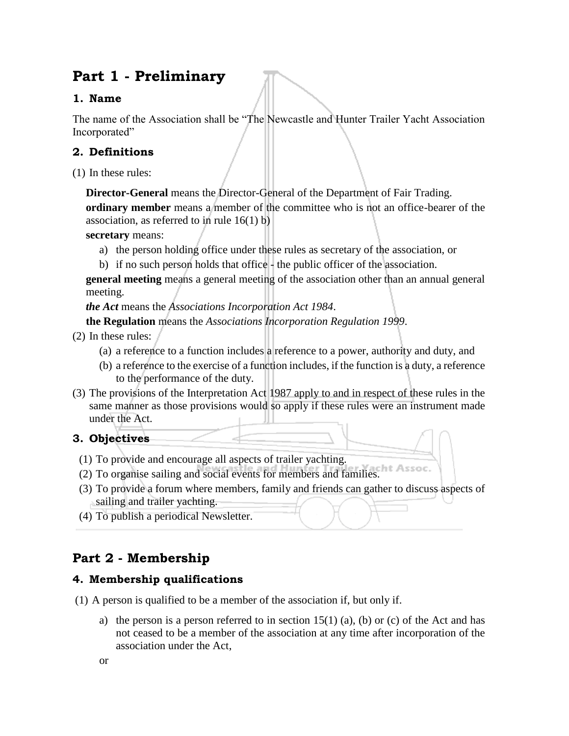## **Part 1 - Preliminary**

## **1. Name**

The name of the Association shall be "The Newcastle and Hunter Trailer Yacht Association Incorporated"

## **2. Definitions**

(1) In these rules:

**Director-General** means the Director-General of the Department of Fair Trading. **ordinary member** means a member of the committee who is not an office-bearer of the association, as referred to in rule 16(1) b)

**secretary** means:

- a) the person holding office under these rules as secretary of the association, or
- b) if no such person holds that office the public officer of the association.

**general meeting** means a general meeting of the association other than an annual general meeting.

*the Act* means the *Associations Incorporation Act 1984*.

**the Regulation** means the *Associations Incorporation Regulation 1999*.

- (2) In these rules:
	- (a) a reference to a function includes a reference to a power, authority and duty, and
	- (b) a reference to the exercise of a function includes, if the function is a duty, a reference to the performance of the duty.
- (3) The provisions of the Interpretation Act 1987 apply to and in respect of these rules in the same manner as those provisions would so apply if these rules were an instrument made under the Act.

## **3. Objectives**

- (1) To provide and encourage all aspects of trailer yachting.
- (2) To organise sailing and social events for members and families.
- (3) To provide a forum where members, family and friends can gather to discuss aspects of sailing and trailer yachting.
- (4) To publish a periodical Newsletter.

## **Part 2 - Membership**

## **4. Membership qualifications**

- (1) A person is qualified to be a member of the association if, but only if.
	- a) the person is a person referred to in section  $15(1)$  (a), (b) or (c) of the Act and has not ceased to be a member of the association at any time after incorporation of the association under the Act,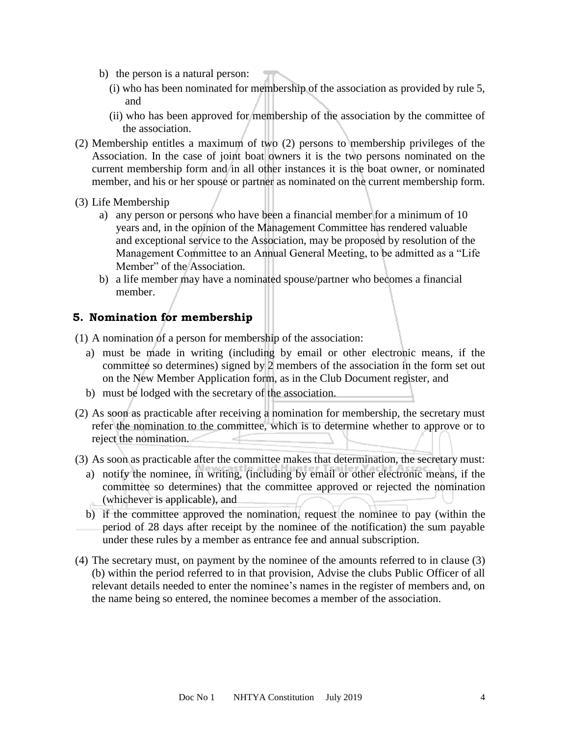- b) the person is a natural person:
	- (i) who has been nominated for membership of the association as provided by rule 5, and
	- (ii) who has been approved for membership of the association by the committee of the association.
- (2) Membership entitles a maximum of two (2) persons to membership privileges of the Association. In the case of joint boat owners it is the two persons nominated on the current membership form and in all other instances it is the boat owner, or nominated member, and his or her spouse or partner as nominated on the current membership form.
- (3) Life Membership
	- a) any person or persons who have been a financial member for a minimum of 10 years and, in the opinion of the Management Committee has rendered valuable and exceptional service to the Association, may be proposed by resolution of the Management Committee to an Annual General Meeting, to be admitted as a "Life Member" of the Association.
	- b) a life member may have a nominated spouse/partner who becomes a financial member.

#### **5. Nomination for membership**

(1) A nomination of a person for membership of the association:

- a) must be made in writing (including by email or other electronic means, if the committee so determines) signed by 2 members of the association in the form set out on the New Member Application form, as in the Club Document register, and
- b) must be lodged with the secretary of the association.
- (2) As soon as practicable after receiving a nomination for membership, the secretary must refer the nomination to the committee, which is to determine whether to approve or to reject the nomination.
- (3) As soon as practicable after the committee makes that determination, the secretary must:
	- a) notify the nominee, in writing, (including by email or other electronic means, if the committee so determines) that the committee approved or rejected the nomination (whichever is applicable), and
	- b) if the committee approved the nomination, request the nominee to pay (within the period of 28 days after receipt by the nominee of the notification) the sum payable under these rules by a member as entrance fee and annual subscription.
- (4) The secretary must, on payment by the nominee of the amounts referred to in clause (3) (b) within the period referred to in that provision, Advise the clubs Public Officer of all relevant details needed to enter the nominee's names in the register of members and, on the name being so entered, the nominee becomes a member of the association.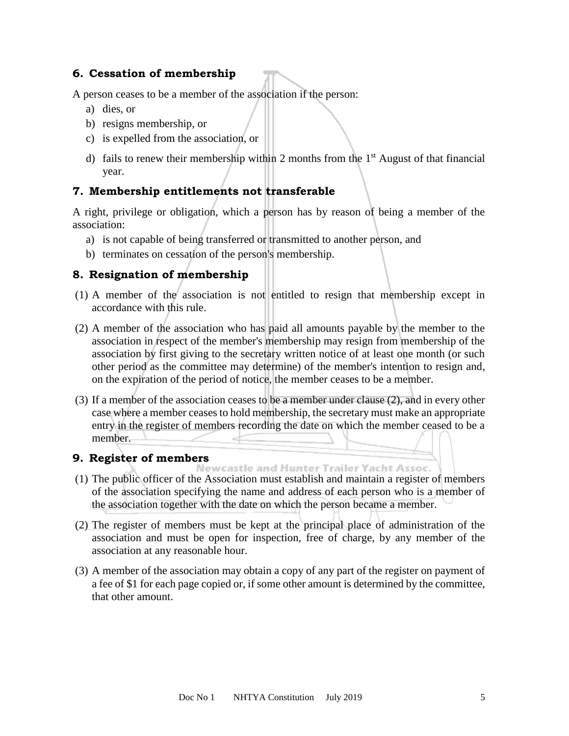#### **6. Cessation of membership**

A person ceases to be a member of the association if the person:

- a) dies, or
- b) resigns membership, or
- c) is expelled from the association, or
- d) fails to renew their membership within 2 months from the  $1<sup>st</sup>$  August of that financial year.

## **7. Membership entitlements not transferable**

A right, privilege or obligation, which a person has by reason of being a member of the association:

- a) is not capable of being transferred or transmitted to another person, and
- b) terminates on cessation of the person's membership.

#### **8. Resignation of membership**

- (1) A member of the association is not entitled to resign that membership except in accordance with this rule.
- (2) A member of the association who has paid all amounts payable by the member to the association in respect of the member's membership may resign from membership of the association by first giving to the secretary written notice of at least one month (or such other period as the committee may determine) of the member's intention to resign and, on the expiration of the period of notice, the member ceases to be a member.
- (3) If a member of the association ceases to be a member under clause (2), and in every other case where a member ceases to hold membership, the secretary must make an appropriate entry in the register of members recording the date on which the member ceased to be a member.

# **9. Register of members**<br>**Mewcastle and Hunter Trailer Yacht Assoc.**

- (1) The public officer of the Association must establish and maintain a register of members of the association specifying the name and address of each person who is a member of the association together with the date on which the person became a member.
- (2) The register of members must be kept at the principal place of administration of the association and must be open for inspection, free of charge, by any member of the association at any reasonable hour.
- (3) A member of the association may obtain a copy of any part of the register on payment of a fee of \$1 for each page copied or, if some other amount is determined by the committee, that other amount.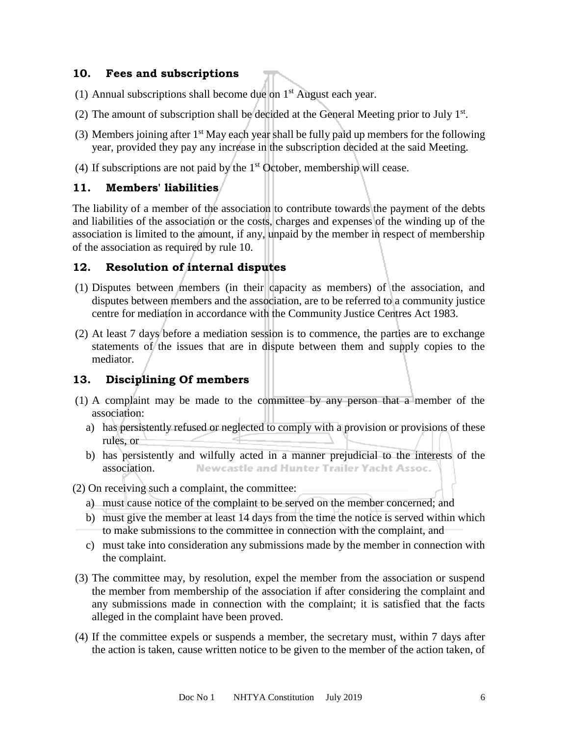#### **10. Fees and subscriptions**

- (1) Annual subscriptions shall become due on  $1<sup>st</sup>$  August each year.
- (2) The amount of subscription shall be decided at the General Meeting prior to July  $1<sup>st</sup>$ .
- (3) Members joining after  $1<sup>st</sup>$  May each year shall be fully paid up members for the following year, provided they pay any increase in the subscription decided at the said Meeting.
- (4) If subscriptions are not paid by the  $1<sup>st</sup>$  October, membership will cease.

#### **11. Members' liabilities**

The liability of a member of the association to contribute towards the payment of the debts and liabilities of the association or the costs, charges and expenses of the winding up of the association is limited to the amount, if any, unpaid by the member in respect of membership of the association as required by rule 10.

## **12. Resolution of internal disputes**

- (1) Disputes between members (in their capacity as members) of the association, and disputes between members and the association, are to be referred to a community justice centre for mediation in accordance with the Community Justice Centres Act 1983.
- (2) At least 7 days before a mediation session is to commence, the parties are to exchange statements of the issues that are in dispute between them and supply copies to the mediator.

## **13. Disciplining Of members**

- (1) A complaint may be made to the committee by any person that a member of the association:
	- a) has persistently refused or neglected to comply with a provision or provisions of these rules, or
	- b) has persistently and wilfully acted in a manner prejudicial to the interests of the Newcastle and Hunter Trailer Yacht Assoc. association.

(2) On receiving such a complaint, the committee:

- a) must cause notice of the complaint to be served on the member concerned; and
- b) must give the member at least 14 days from the time the notice is served within which to make submissions to the committee in connection with the complaint, and
- c) must take into consideration any submissions made by the member in connection with the complaint.
- (3) The committee may, by resolution, expel the member from the association or suspend the member from membership of the association if after considering the complaint and any submissions made in connection with the complaint; it is satisfied that the facts alleged in the complaint have been proved.
- (4) If the committee expels or suspends a member, the secretary must, within 7 days after the action is taken, cause written notice to be given to the member of the action taken, of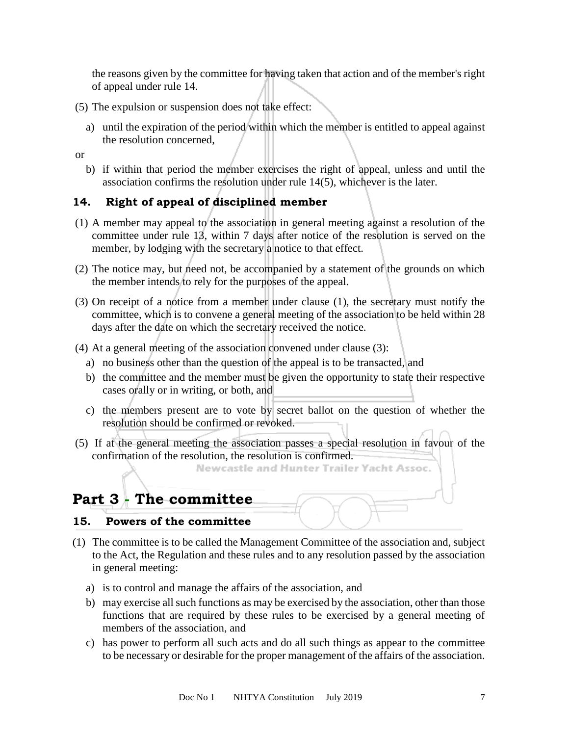the reasons given by the committee for having taken that action and of the member's right of appeal under rule 14.

- (5) The expulsion or suspension does not take effect:
	- a) until the expiration of the period within which the member is entitled to appeal against the resolution concerned,

or

b) if within that period the member exercises the right of appeal, unless and until the association confirms the resolution under rule 14(5), whichever is the later.

## **14. Right of appeal of disciplined member**

- (1) A member may appeal to the association in general meeting against a resolution of the committee under rule 13, within 7 days after notice of the resolution is served on the member, by lodging with the secretary a notice to that effect.
- (2) The notice may, but need not, be accompanied by a statement of the grounds on which the member intends to rely for the purposes of the appeal.
- (3) On receipt of a notice from a member under clause (1), the secretary must notify the committee, which is to convene a general meeting of the association to be held within 28 days after the date on which the secretary received the notice.
- (4) At a general meeting of the association convened under clause (3):
	- a) no business other than the question of the appeal is to be transacted, and
	- b) the committee and the member must be given the opportunity to state their respective cases orally or in writing, or both, and
	- c) the members present are to vote by secret ballot on the question of whether the resolution should be confirmed or revoked.
- (5) If at the general meeting the association passes a special resolution in favour of the confirmation of the resolution, the resolution is confirmed.

Newcastle and Hunter Trailer Yacht Assoc.

## **Part 3 - The committee**

#### **15. Powers of the committee**

- (1) The committee is to be called the Management Committee of the association and, subject to the Act, the Regulation and these rules and to any resolution passed by the association in general meeting:
	- a) is to control and manage the affairs of the association, and
	- b) may exercise all such functions as may be exercised by the association, other than those functions that are required by these rules to be exercised by a general meeting of members of the association, and
	- c) has power to perform all such acts and do all such things as appear to the committee to be necessary or desirable for the proper management of the affairs of the association.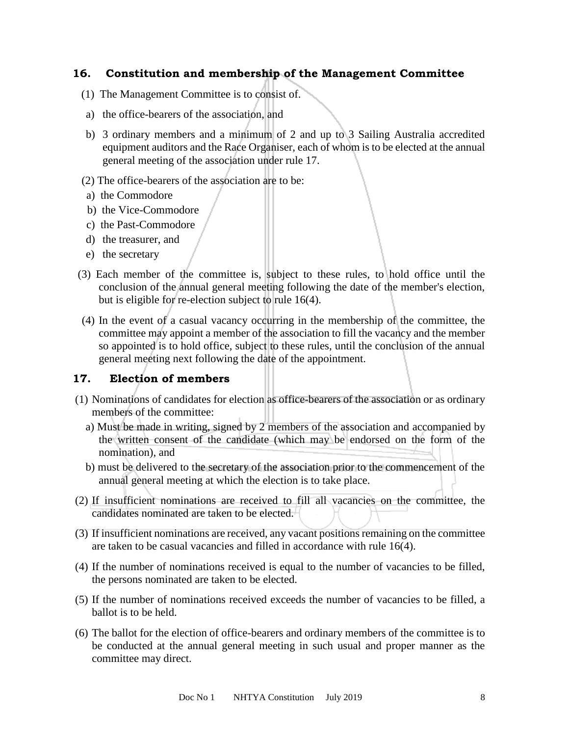#### **16. Constitution and membership of the Management Committee**

- (1) The Management Committee is to consist of.
- a) the office-bearers of the association, and
- b) 3 ordinary members and a minimum of 2 and up to 3 Sailing Australia accredited equipment auditors and the Race Organiser, each of whom is to be elected at the annual general meeting of the association under rule 17.
- (2) The office-bearers of the association are to be:
- a) the Commodore
- b) the Vice-Commodore
- c) the Past-Commodore
- d) the treasurer, and
- e) the secretary
- (3) Each member of the committee is, subject to these rules, to hold office until the conclusion of the annual general meeting following the date of the member's election, but is eligible for re-election subject to rule 16(4).
- (4) In the event of a casual vacancy occurring in the membership of the committee, the committee may appoint a member of the association to fill the vacancy and the member so appointed is to hold office, subject to these rules, until the conclusion of the annual general meeting next following the date of the appointment.

## **17. Election of members**

- (1) Nominations of candidates for election as office-bearers of the association or as ordinary members of the committee:
	- a) Must be made in writing, signed by 2 members of the association and accompanied by the written consent of the candidate (which may be endorsed on the form of the nomination), and
	- b) must be delivered to the secretary of the association prior to the commencement of the annual general meeting at which the election is to take place.
- (2) If insufficient nominations are received to fill all vacancies on the committee, the candidates nominated are taken to be elected.
- (3) If insufficient nominations are received, any vacant positions remaining on the committee are taken to be casual vacancies and filled in accordance with rule 16(4).
- (4) If the number of nominations received is equal to the number of vacancies to be filled, the persons nominated are taken to be elected.
- (5) If the number of nominations received exceeds the number of vacancies to be filled, a ballot is to be held.
- (6) The ballot for the election of office-bearers and ordinary members of the committee is to be conducted at the annual general meeting in such usual and proper manner as the committee may direct.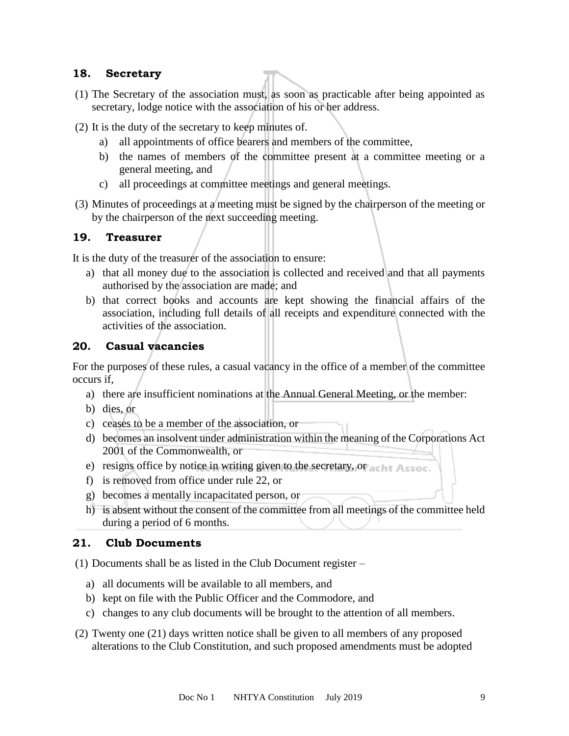#### **18. Secretary**

- (1) The Secretary of the association must, as soon as practicable after being appointed as secretary, lodge notice with the association of his or her address.
- (2) It is the duty of the secretary to keep minutes of.
	- a) all appointments of office bearers and members of the committee,
	- b) the names of members of the committee present at a committee meeting or a general meeting, and
	- c) all proceedings at committee meetings and general meetings.
- (3) Minutes of proceedings at a meeting must be signed by the chairperson of the meeting or by the chairperson of the next succeeding meeting.

#### **19. Treasurer**

It is the duty of the treasurer of the association to ensure:

- a) that all money due to the association is collected and received and that all payments authorised by the association are made; and
- b) that correct books and accounts are kept showing the financial affairs of the association, including full details of all receipts and expenditure connected with the activities of the association.

#### **20. Casual vacancies**

For the purposes of these rules, a casual vacancy in the office of a member of the committee occurs if,

- a) there are insufficient nominations at the Annual General Meeting, or the member:
- b) dies, or
- c) ceases to be a member of the association, or
- d) becomes an insolvent under administration within the meaning of the Corporations Act 2001 of the Commonwealth, or
- e) resigns office by notice in writing given to the secretary, or achit Assoc.
- f) is removed from office under rule 22, or
- g) becomes a mentally incapacitated person, or
- h) is absent without the consent of the committee from all meetings of the committee held during a period of 6 months.

#### **21. Club Documents**

(1) Documents shall be as listed in the Club Document register –

- a) all documents will be available to all members, and
- b) kept on file with the Public Officer and the Commodore, and
- c) changes to any club documents will be brought to the attention of all members.
- (2) Twenty one (21) days written notice shall be given to all members of any proposed alterations to the Club Constitution, and such proposed amendments must be adopted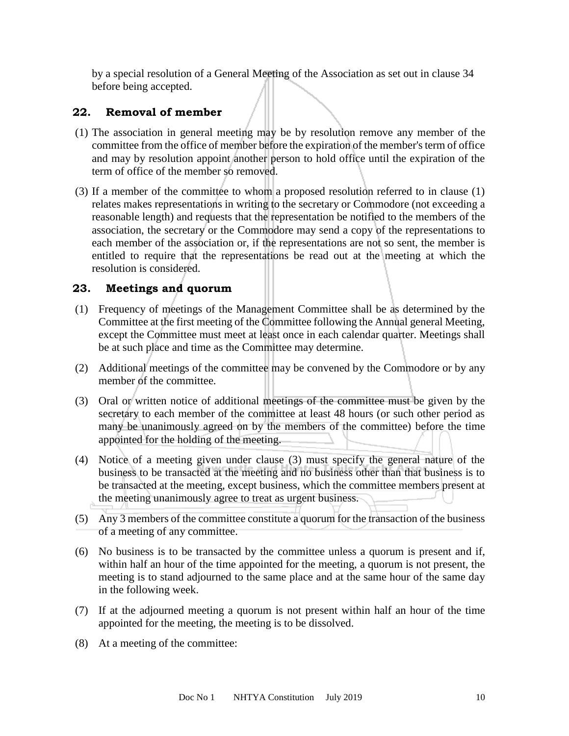by a special resolution of a General Meeting of the Association as set out in clause 34 before being accepted.

#### **22. Removal of member**

- (1) The association in general meeting may be by resolution remove any member of the committee from the office of member before the expiration of the member's term of office and may by resolution appoint another person to hold office until the expiration of the term of office of the member so removed.
- (3) If a member of the committee to whom a proposed resolution referred to in clause (1) relates makes representations in writing to the secretary or Commodore (not exceeding a reasonable length) and requests that the representation be notified to the members of the association, the secretary or the Commodore may send a copy of the representations to each member of the association or, if the representations are not so sent, the member is entitled to require that the representations be read out at the meeting at which the resolution is considered.

#### **23. Meetings and quorum**

- (1) Frequency of meetings of the Management Committee shall be as determined by the Committee at the first meeting of the Committee following the Annual general Meeting, except the Committee must meet at least once in each calendar quarter. Meetings shall be at such place and time as the Committee may determine.
- (2) Additional meetings of the committee may be convened by the Commodore or by any member of the committee.
- (3) Oral or written notice of additional meetings of the committee must be given by the secretary to each member of the committee at least 48 hours (or such other period as many be unanimously agreed on by the members of the committee) before the time appointed for the holding of the meeting.
- (4) Notice of a meeting given under clause (3) must specify the general nature of the business to be transacted at the meeting and no business other than that business is to be transacted at the meeting, except business, which the committee members present at the meeting unanimously agree to treat as urgent business.
- (5) Any 3 members of the committee constitute a quorum for the transaction of the business of a meeting of any committee.
- (6) No business is to be transacted by the committee unless a quorum is present and if, within half an hour of the time appointed for the meeting, a quorum is not present, the meeting is to stand adjourned to the same place and at the same hour of the same day in the following week.
- (7) If at the adjourned meeting a quorum is not present within half an hour of the time appointed for the meeting, the meeting is to be dissolved.
- (8) At a meeting of the committee: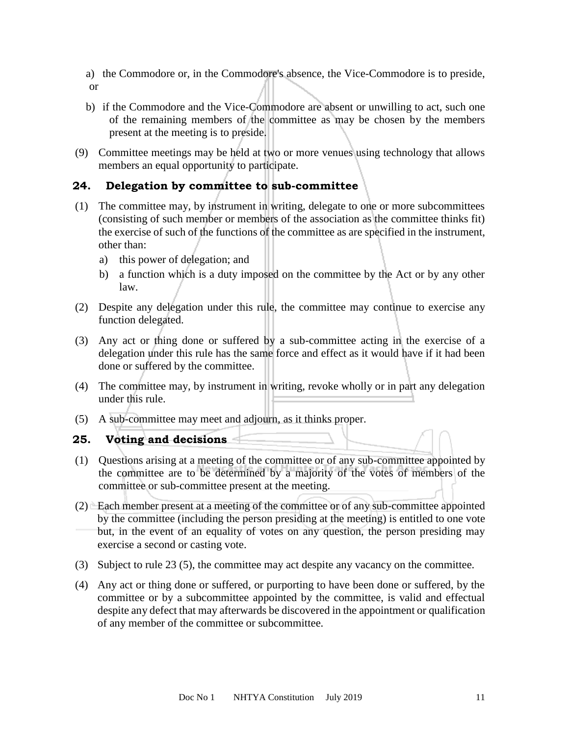a) the Commodore or, in the Commodore's absence, the Vice-Commodore is to preside, or

- b) if the Commodore and the Vice-Commodore are absent or unwilling to act, such one of the remaining members of the committee as may be chosen by the members present at the meeting is to preside.
- (9) Committee meetings may be held at two or more venues using technology that allows members an equal opportunity to participate.

## **24. Delegation by committee to sub-committee**

- (1) The committee may, by instrument in writing, delegate to one or more subcommittees (consisting of such member or members of the association as the committee thinks fit) the exercise of such of the functions of the committee as are specified in the instrument, other than:
	- a) this power of delegation; and
	- b) a function which is a duty imposed on the committee by the Act or by any other law.
- (2) Despite any delegation under this rule, the committee may continue to exercise any function delegated.
- (3) Any act or thing done or suffered by a sub-committee acting in the exercise of a delegation under this rule has the same force and effect as it would have if it had been done or suffered by the committee.
- (4) The committee may, by instrument in writing, revoke wholly or in part any delegation under this rule.
- (5) A sub-committee may meet and adjourn, as it thinks proper.

#### **25. Voting and decisions**

- (1) Questions arising at a meeting of the committee or of any sub-committee appointed by the committee are to be determined by a majority of the votes of members of the committee or sub-committee present at the meeting.
- (2) Each member present at a meeting of the committee or of any sub-committee appointed by the committee (including the person presiding at the meeting) is entitled to one vote but, in the event of an equality of votes on any question, the person presiding may exercise a second or casting vote.
- (3) Subject to rule 23 (5), the committee may act despite any vacancy on the committee.
- (4) Any act or thing done or suffered, or purporting to have been done or suffered, by the committee or by a subcommittee appointed by the committee, is valid and effectual despite any defect that may afterwards be discovered in the appointment or qualification of any member of the committee or subcommittee.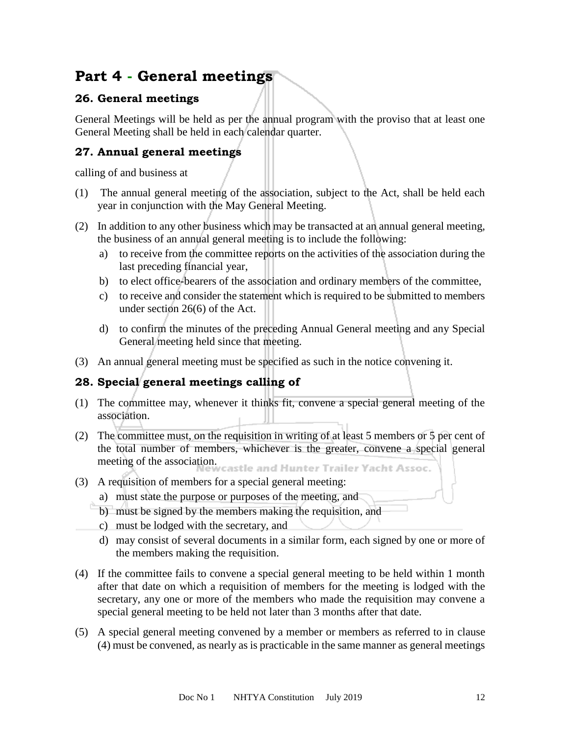## **Part 4 - General meetings**

## **26. General meetings**

General Meetings will be held as per the annual program with the proviso that at least one General Meeting shall be held in each calendar quarter.

## **27. Annual general meetings**

calling of and business at

- (1) The annual general meeting of the association, subject to the Act, shall be held each year in conjunction with the May General Meeting.
- (2) In addition to any other business which may be transacted at an annual general meeting, the business of an annual general meeting is to include the following:
	- a) to receive from the committee reports on the activities of the association during the last preceding financial year,
	- b) to elect office-bearers of the association and ordinary members of the committee,
	- c) to receive and consider the statement which is required to be submitted to members under section 26(6) of the Act.
	- d) to confirm the minutes of the preceding Annual General meeting and any Special General meeting held since that meeting.
- (3) An annual general meeting must be specified as such in the notice convening it.

## **28. Special general meetings calling of**

- (1) The committee may, whenever it thinks fit, convene a special general meeting of the association.
- (2) The committee must, on the requisition in writing of at least 5 members or 5 per cent of the total number of members, whichever is the greater, convene a special general meeting of the association.<br>meeting of the association.
- (3) A requisition of members for a special general meeting:
	- a) must state the purpose or purposes of the meeting, and
	- b) must be signed by the members making the requisition, and
	- c) must be lodged with the secretary, and
	- d) may consist of several documents in a similar form, each signed by one or more of the members making the requisition.
- (4) If the committee fails to convene a special general meeting to be held within 1 month after that date on which a requisition of members for the meeting is lodged with the secretary, any one or more of the members who made the requisition may convene a special general meeting to be held not later than 3 months after that date.
- (5) A special general meeting convened by a member or members as referred to in clause (4) must be convened, as nearly as is practicable in the same manner as general meetings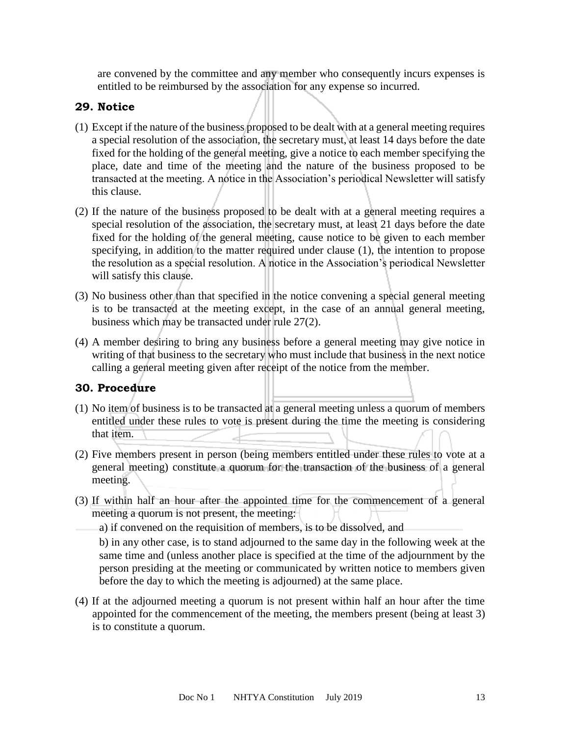are convened by the committee and any member who consequently incurs expenses is entitled to be reimbursed by the association for any expense so incurred.

## **29. Notice**

- (1) Except if the nature of the business proposed to be dealt with at a general meeting requires a special resolution of the association, the secretary must, at least 14 days before the date fixed for the holding of the general meeting, give a notice to each member specifying the place, date and time of the meeting and the nature of the business proposed to be transacted at the meeting. A notice in the Association's periodical Newsletter will satisfy this clause.
- (2) If the nature of the business proposed to be dealt with at a general meeting requires a special resolution of the association, the secretary must, at least 21 days before the date fixed for the holding of the general meeting, cause notice to be given to each member specifying, in addition to the matter required under clause (1), the intention to propose the resolution as a special resolution. A notice in the Association's periodical Newsletter will satisfy this clause.
- (3) No business other than that specified in the notice convening a special general meeting is to be transacted at the meeting except, in the case of an annual general meeting, business which may be transacted under rule 27(2).
- (4) A member desiring to bring any business before a general meeting may give notice in writing of that business to the secretary who must include that business in the next notice calling a general meeting given after receipt of the notice from the member.

## **30. Procedure**

- (1) No item of business is to be transacted at a general meeting unless a quorum of members entitled under these rules to vote is present during the time the meeting is considering that item.
- (2) Five members present in person (being members entitled under these rules to vote at a general meeting) constitute a quorum for the transaction of the business of a general meeting.
- (3) If within half an hour after the appointed time for the commencement of a general meeting a quorum is not present, the meeting:
	- a) if convened on the requisition of members, is to be dissolved, and

b) in any other case, is to stand adjourned to the same day in the following week at the same time and (unless another place is specified at the time of the adjournment by the person presiding at the meeting or communicated by written notice to members given before the day to which the meeting is adjourned) at the same place.

(4) If at the adjourned meeting a quorum is not present within half an hour after the time appointed for the commencement of the meeting, the members present (being at least 3) is to constitute a quorum.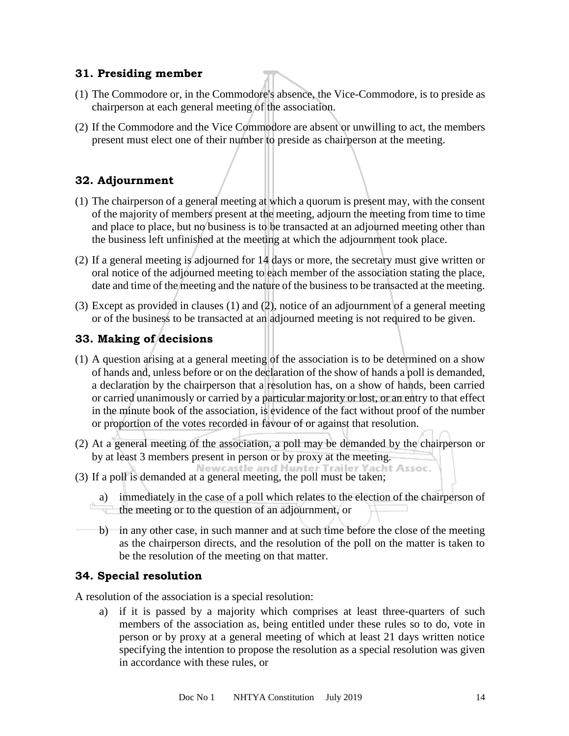#### **31. Presiding member**

- (1) The Commodore or, in the Commodore's absence, the Vice-Commodore, is to preside as chairperson at each general meeting of the association.
- (2) If the Commodore and the Vice Commodore are absent or unwilling to act, the members present must elect one of their number to preside as chairperson at the meeting.

## **32. Adjournment**

- (1) The chairperson of a general meeting at which a quorum is present may, with the consent of the majority of members present at the meeting, adjourn the meeting from time to time and place to place, but no business is to be transacted at an adjourned meeting other than the business left unfinished at the meeting at which the adjournment took place.
- (2) If a general meeting is adjourned for 14 days or more, the secretary must give written or oral notice of the adjourned meeting to each member of the association stating the place, date and time of the meeting and the nature of the business to be transacted at the meeting.
- (3) Except as provided in clauses (1) and (2), notice of an adjournment of a general meeting or of the business to be transacted at an adjourned meeting is not required to be given.

## **33. Making of decisions**

- (1) A question arising at a general meeting of the association is to be determined on a show of hands and, unless before or on the declaration of the show of hands a poll is demanded, a declaration by the chairperson that a resolution has, on a show of hands, been carried or carried unanimously or carried by a particular majority or lost, or an entry to that effect in the minute book of the association, is evidence of the fact without proof of the number or proportion of the votes recorded in favour of or against that resolution.
- (2) At a general meeting of the association, a poll may be demanded by the chairperson or by at least 3 members present in person or by proxy at the meeting.
- (3) If a poll is demanded at a general meeting, the poll must be taken;

a) immediately in the case of a poll which relates to the election of the chairperson of the meeting or to the question of an adjournment, or

b) in any other case, in such manner and at such time before the close of the meeting as the chairperson directs, and the resolution of the poll on the matter is taken to be the resolution of the meeting on that matter.

## **34. Special resolution**

A resolution of the association is a special resolution:

a) if it is passed by a majority which comprises at least three-quarters of such members of the association as, being entitled under these rules so to do, vote in person or by proxy at a general meeting of which at least 21 days written notice specifying the intention to propose the resolution as a special resolution was given in accordance with these rules, or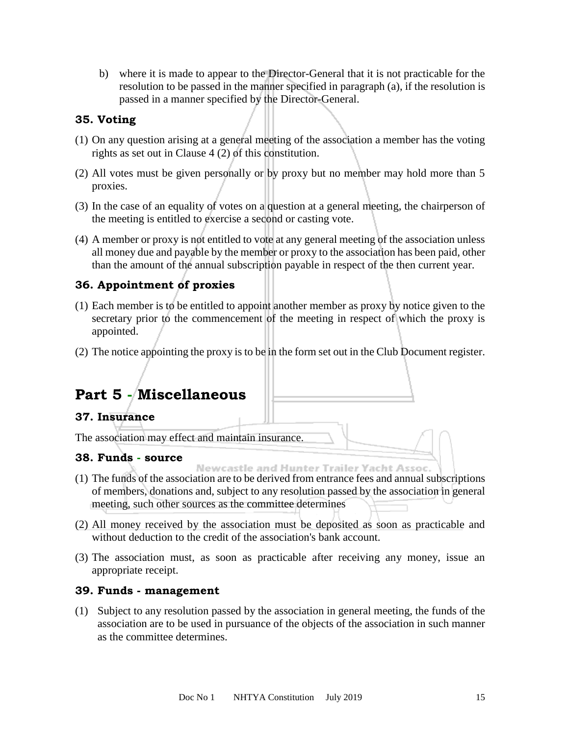b) where it is made to appear to the Director-General that it is not practicable for the resolution to be passed in the manner specified in paragraph (a), if the resolution is passed in a manner specified by the Director-General.

#### **35. Voting**

- (1) On any question arising at a general meeting of the association a member has the voting rights as set out in Clause 4 (2) of this constitution.
- (2) All votes must be given personally or by proxy but no member may hold more than 5 proxies.
- (3) In the case of an equality of votes on a question at a general meeting, the chairperson of the meeting is entitled to exercise a second or casting vote.
- (4) A member or proxy is not entitled to vote at any general meeting of the association unless all money due and payable by the member or proxy to the association has been paid, other than the amount of the annual subscription payable in respect of the then current year.

## **36. Appointment of proxies**

- (1) Each member is to be entitled to appoint another member as proxy by notice given to the secretary prior to the commencement of the meeting in respect of which the proxy is appointed.
- (2) The notice appointing the proxy is to be in the form set out in the Club Document register.

# **Part 5 - Miscellaneous**

## **37. Insurance**

The association may effect and maintain insurance.

## **38. Funds - source**

- Newcastle and Hunter Trailer Yacht Assoc. (1) The funds of the association are to be derived from entrance fees and annual subscriptions of members, donations and, subject to any resolution passed by the association in general meeting, such other sources as the committee determines
- (2) All money received by the association must be deposited as soon as practicable and without deduction to the credit of the association's bank account.
- (3) The association must, as soon as practicable after receiving any money, issue an appropriate receipt.

#### **39. Funds - management**

(1) Subject to any resolution passed by the association in general meeting, the funds of the association are to be used in pursuance of the objects of the association in such manner as the committee determines.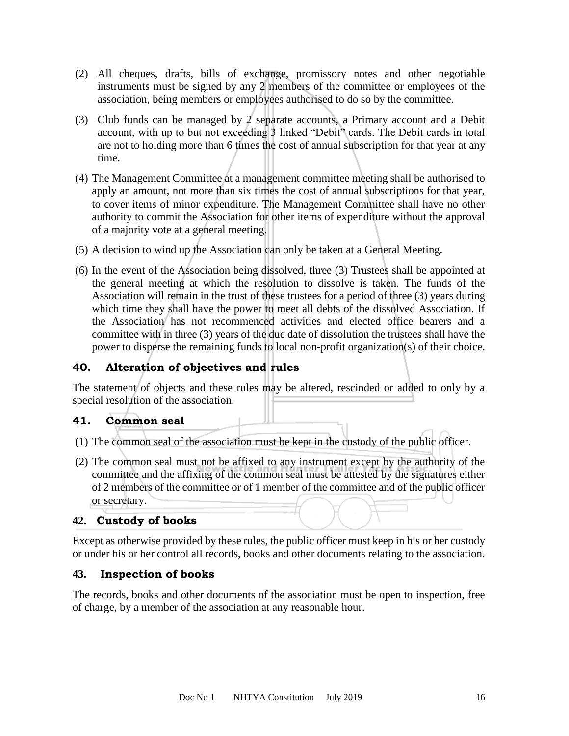- (2) All cheques, drafts, bills of exchange, promissory notes and other negotiable instruments must be signed by any 2 members of the committee or employees of the association, being members or employees authorised to do so by the committee.
- (3) Club funds can be managed by 2 separate accounts, a Primary account and a Debit account, with up to but not exceeding 3 linked "Debit" cards. The Debit cards in total are not to holding more than 6 times the cost of annual subscription for that year at any time.
- (4) The Management Committee at a management committee meeting shall be authorised to apply an amount, not more than six times the cost of annual subscriptions for that year, to cover items of minor expenditure. The Management Committee shall have no other authority to commit the Association for other items of expenditure without the approval of a majority vote at a general meeting.
- (5) A decision to wind up the Association can only be taken at a General Meeting.
- (6) In the event of the Association being dissolved, three (3) Trustees shall be appointed at the general meeting at which the resolution to dissolve is taken. The funds of the Association will remain in the trust of these trustees for a period of three (3) years during which time they shall have the power to meet all debts of the dissolved Association. If the Association has not recommenced activities and elected office bearers and a committee with in three (3) years of the due date of dissolution the trustees shall have the power to disperse the remaining funds to local non-profit organization(s) of their choice.

## **40. Alteration of objectives and rules**

The statement of objects and these rules may be altered, rescinded or added to only by a special resolution of the association.

## **41. Common seal**

- (1) The common seal of the association must be kept in the custody of the public officer.
- (2) The common seal must not be affixed to any instrument except by the authority of the committee and the affixing of the common seal must be attested by the signatures either of 2 members of the committee or of 1 member of the committee and of the public officer or secretary.

#### **42. Custody of books**

Except as otherwise provided by these rules, the public officer must keep in his or her custody or under his or her control all records, books and other documents relating to the association.

#### **43. Inspection of books**

The records, books and other documents of the association must be open to inspection, free of charge, by a member of the association at any reasonable hour.